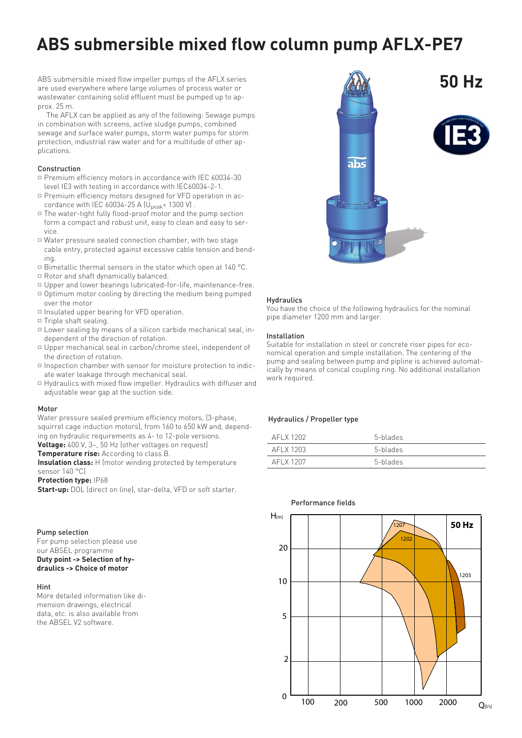# **ABS submersible mixed flow column pump AFLX-PE7**

ABS submersible mixed flow impeller pumps of the AFLX series are used everywhere where large volumes of process water or wastewater containing solid effluent must be pumped up to approx. 25 m.

The AFLX can be applied as any of the following: Sewage pumps in combination with screens, active sludge pumps, combined sewage and surface water pumps, storm water pumps for storm protection, industrial raw water and for a multitude of other applications.

# Construction

- $\Box$  Premium efficiency motors in accordance with IEC 60034-30 level IE3 with testing in accordance with IEC60034-2-1.
- $\mathbin{\hspace{1pt}\text{--}\hspace{1pt}}$  Premium efficiency motors designed for VFD operation in accordance with IEC 60034-25 A  $\left(U_{peak}$  < 1300 V).
- $\mathbin{\hspace{1pt}\text{--}\hspace{1pt}}$  The water-tight fully flood-proof motor and the pump section form a compact and robust unit, easy to clean and easy to service.
- $\mathbin{\hspace{1pt}\text{--}\hspace{1pt}}$  Water pressure sealed connection chamber, with two stage cable entry, protected against excessive cable tension and bending.
- $\Box$  Bimetallic thermal sensors in the stator which open at 140 °C.
- $\Box$  Rotor and shaft dynamically balanced.
- $\Box$  Upper and lower bearings lubricated-for-life, maintenance-free.
- $\mathbin{\hspace{1pt}\text{--}\hspace{1pt}}$  Optimum motor cooling by directing the medium being pumped over the motor
- $\Box$  Insulated upper bearing for VFD operation.
- $\Box$  Triple shaft sealing.
- $\Box$  Lower sealing by means of a silicon carbide mechanical seal, independent of the direction of rotation.
- $\Box$  Upper mechanical seal in carbon/chrome steel, independent of the direction of rotation.
- $\mathbin{\hspace{1pt}\text{a}}$  Inspection chamber with sensor for moisture protection to indicate water leakage through mechanical seal.
- $\mathbin{\hspace{1pt}\text{--}\hspace{1pt}}$  Hydraulics with mixed flow impeller. Hydraulics with diffuser and adjustable wear gap at the suction side.

#### Motor

Water pressure sealed premium efficiency motors, (3-phase, squirrel cage induction motors), from 160 to 650 kW and, depending on hydraulic requirements as 4- to 12-pole versions. **Voltage:** 400 V, 3~, 50 Hz (other voltages on request)

**Temperature rise:** According to class B.

**Insulation class:** H (motor winding protected by temperature sensor 140 °C)

# **Protection type:** IP68

**Start-up:** DOL (direct on line), star-delta, VFD or soft starter.

# Pump selection

For pump selection please use our ABSEL programme **Duty point -> Selection of hydraulics -> Choice of motor**

### Hint

More detailed information like dimension drawings, electrical data, etc. is also available from the ABSEL V2 software.



#### **Hydraulics**

You have the choice of the following hydraulics for the nominal pipe diameter 1200 mm and larger.

#### Installation

Suitable for installation in steel or concrete riser pipes for economical operation and simple installation. The centering of the pump and sealing between pump and pipline is achieved automatically by means of conical coupling ring. No additional installation work required.

# Hydraulics / Propeller type

| AFI X 1202 | 5-blades |
|------------|----------|
| AFI X 1203 | 5-blades |
| AFI X 1207 | 5-blades |



# Performance fields